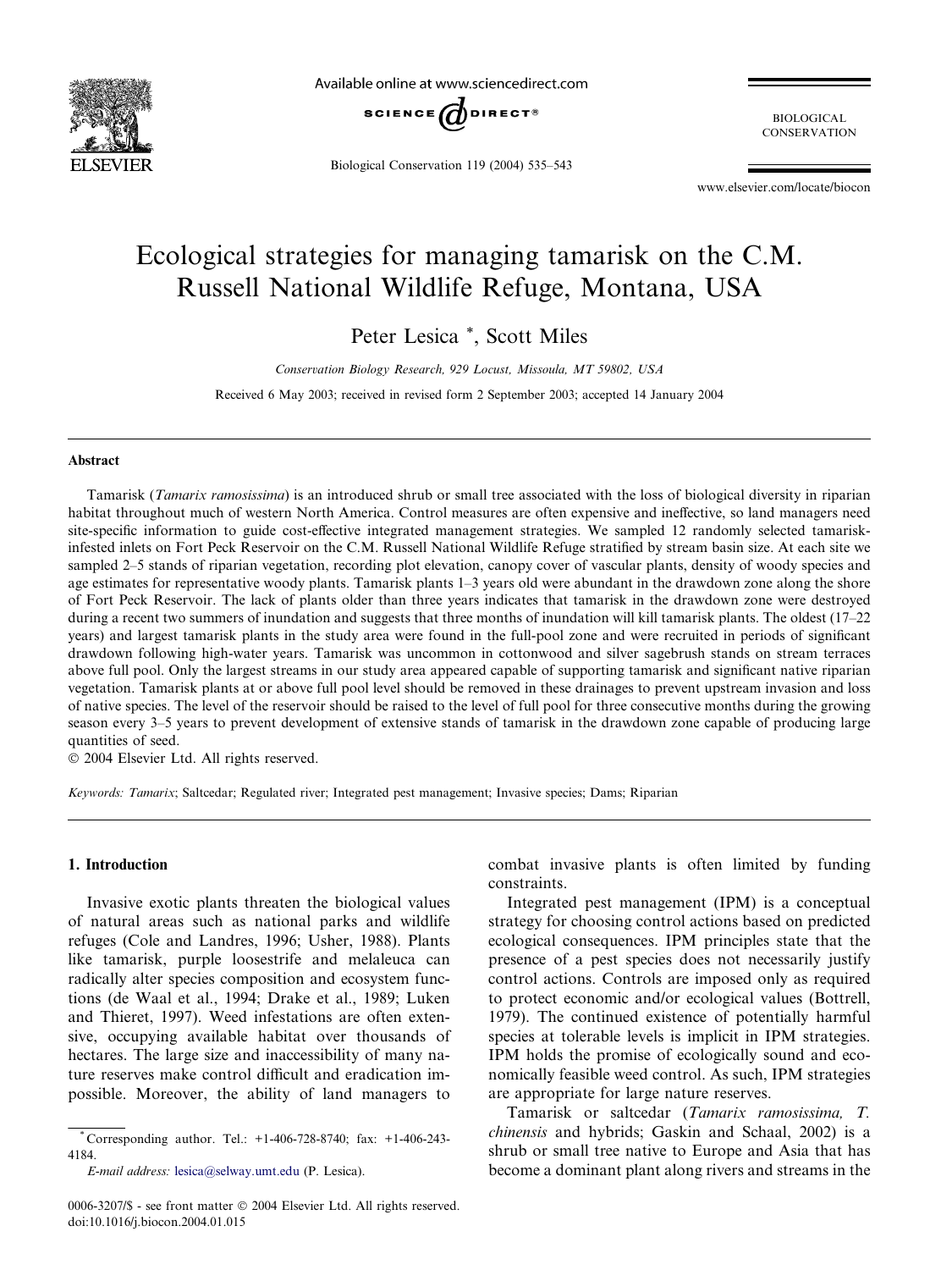

Available online at www.sciencedirect.com



Biological Conservation 119 (2004) 535–543

BIOLOGICAL **CONSERVATION** 

www.elsevier.com/locate/biocon

# Ecological strategies for managing tamarisk on the C.M. Russell National Wildlife Refuge, Montana, USA

Peter Lesica \*, Scott Miles

Conservation Biology Research, 929 Locust, Missoula, MT 59802, USA

Received 6 May 2003; received in revised form 2 September 2003; accepted 14 January 2004

#### Abstract

Tamarisk (Tamarix ramosissima) is an introduced shrub or small tree associated with the loss of biological diversity in riparian habitat throughout much of western North America. Control measures are often expensive and ineffective, so land managers need site-specific information to guide cost-effective integrated management strategies. We sampled 12 randomly selected tamariskinfested inlets on Fort Peck Reservoir on the C.M. Russell National Wildlife Refuge stratified by stream basin size. At each site we sampled 2–5 stands of riparian vegetation, recording plot elevation, canopy cover of vascular plants, density of woody species and age estimates for representative woody plants. Tamarisk plants 1–3 years old were abundant in the drawdown zone along the shore of Fort Peck Reservoir. The lack of plants older than three years indicates that tamarisk in the drawdown zone were destroyed during a recent two summers of inundation and suggests that three months of inundation will kill tamarisk plants. The oldest (17–22) years) and largest tamarisk plants in the study area were found in the full-pool zone and were recruited in periods of significant drawdown following high-water years. Tamarisk was uncommon in cottonwood and silver sagebrush stands on stream terraces above full pool. Only the largest streams in our study area appeared capable of supporting tamarisk and significant native riparian vegetation. Tamarisk plants at or above full pool level should be removed in these drainages to prevent upstream invasion and loss of native species. The level of the reservoir should be raised to the level of full pool for three consecutive months during the growing season every 3–5 years to prevent development of extensive stands of tamarisk in the drawdown zone capable of producing large quantities of seed.

2004 Elsevier Ltd. All rights reserved.

Keywords: Tamarix; Saltcedar; Regulated river; Integrated pest management; Invasive species; Dams; Riparian

# 1. Introduction

Invasive exotic plants threaten the biological values of natural areas such as national parks and wildlife refuges (Cole and Landres, 1996; Usher, 1988). Plants like tamarisk, purple loosestrife and melaleuca can radically alter species composition and ecosystem functions (de Waal et al., 1994; Drake et al., 1989; Luken and Thieret, 1997). Weed infestations are often extensive, occupying available habitat over thousands of hectares. The large size and inaccessibility of many nature reserves make control difficult and eradication impossible. Moreover, the ability of land managers to

combat invasive plants is often limited by funding constraints.

Integrated pest management (IPM) is a conceptual strategy for choosing control actions based on predicted ecological consequences. IPM principles state that the presence of a pest species does not necessarily justify control actions. Controls are imposed only as required to protect economic and/or ecological values (Bottrell, 1979). The continued existence of potentially harmful species at tolerable levels is implicit in IPM strategies. IPM holds the promise of ecologically sound and economically feasible weed control. As such, IPM strategies are appropriate for large nature reserves.

Tamarisk or saltcedar (Tamarix ramosissima, T. chinensis and hybrids; Gaskin and Schaal, 2002) is a shrub or small tree native to Europe and Asia that has become a dominant plant along rivers and streams in the

<sup>\*</sup> Corresponding author. Tel.: +1-406-728-8740; fax: +1-406-243- 4184.

E-mail address: [lesica@selway.umt.edu](mail to: lesica@selway.umt.edu) (P. Lesica).

<sup>0006-3207/\$ -</sup> see front matter  $\odot$  2004 Elsevier Ltd. All rights reserved. doi:10.1016/j.biocon.2004.01.015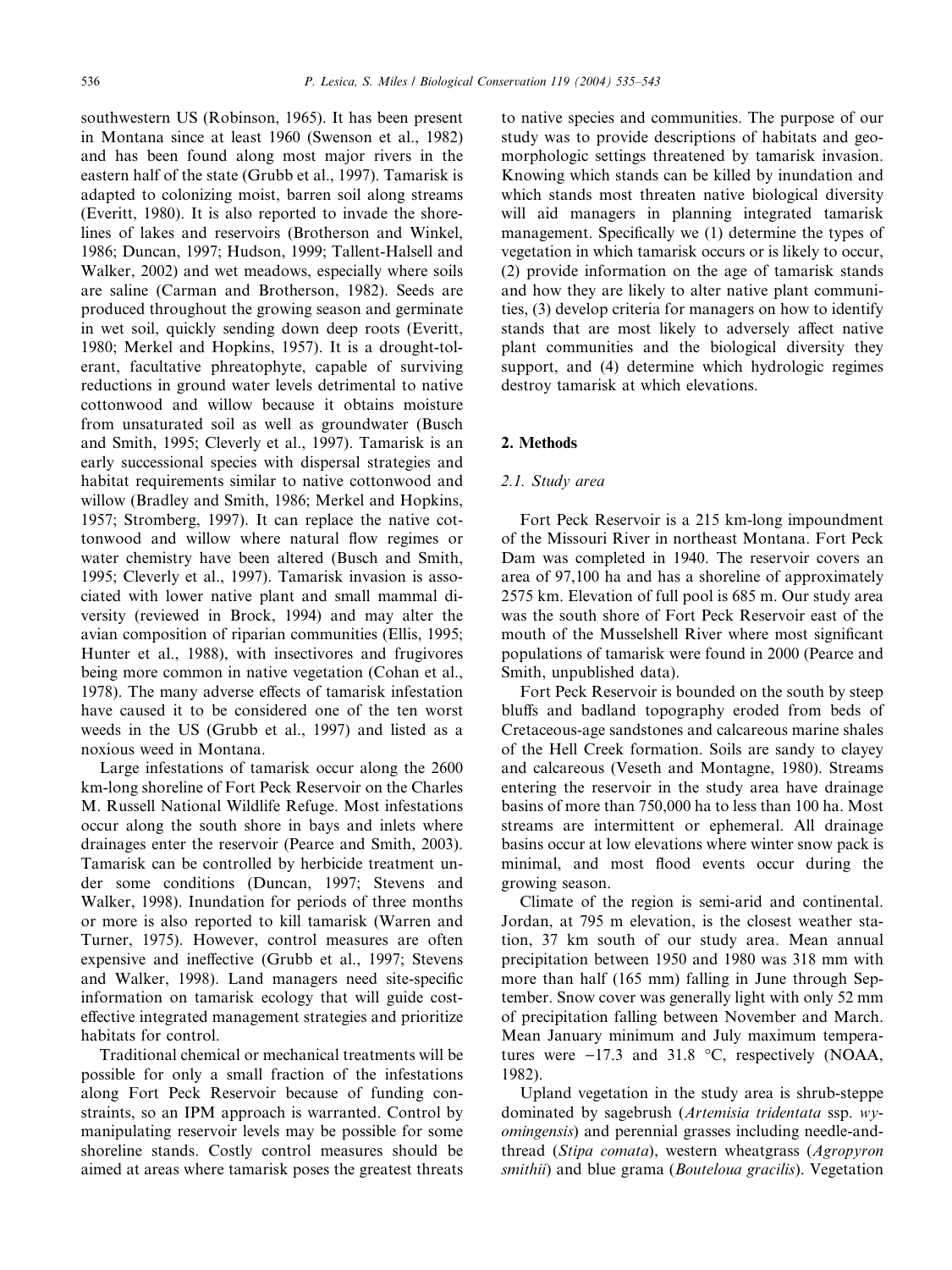southwestern US (Robinson, 1965). It has been present in Montana since at least 1960 (Swenson et al., 1982) and has been found along most major rivers in the eastern half of the state (Grubb et al., 1997). Tamarisk is adapted to colonizing moist, barren soil along streams (Everitt, 1980). It is also reported to invade the shorelines of lakes and reservoirs (Brotherson and Winkel, 1986; Duncan, 1997; Hudson, 1999; Tallent-Halsell and Walker, 2002) and wet meadows, especially where soils are saline (Carman and Brotherson, 1982). Seeds are produced throughout the growing season and germinate in wet soil, quickly sending down deep roots (Everitt, 1980; Merkel and Hopkins, 1957). It is a drought-tolerant, facultative phreatophyte, capable of surviving reductions in ground water levels detrimental to native cottonwood and willow because it obtains moisture from unsaturated soil as well as groundwater (Busch and Smith, 1995; Cleverly et al., 1997). Tamarisk is an early successional species with dispersal strategies and habitat requirements similar to native cottonwood and willow (Bradley and Smith, 1986; Merkel and Hopkins, 1957; Stromberg, 1997). It can replace the native cottonwood and willow where natural flow regimes or water chemistry have been altered (Busch and Smith, 1995; Cleverly et al., 1997). Tamarisk invasion is associated with lower native plant and small mammal diversity (reviewed in Brock, 1994) and may alter the avian composition of riparian communities (Ellis, 1995; Hunter et al., 1988), with insectivores and frugivores being more common in native vegetation (Cohan et al., 1978). The many adverse effects of tamarisk infestation have caused it to be considered one of the ten worst weeds in the US (Grubb et al., 1997) and listed as a noxious weed in Montana.

Large infestations of tamarisk occur along the 2600 km-long shoreline of Fort Peck Reservoir on the Charles M. Russell National Wildlife Refuge. Most infestations occur along the south shore in bays and inlets where drainages enter the reservoir (Pearce and Smith, 2003). Tamarisk can be controlled by herbicide treatment under some conditions (Duncan, 1997; Stevens and Walker, 1998). Inundation for periods of three months or more is also reported to kill tamarisk (Warren and Turner, 1975). However, control measures are often expensive and ineffective (Grubb et al., 1997; Stevens and Walker, 1998). Land managers need site-specific information on tamarisk ecology that will guide costeffective integrated management strategies and prioritize habitats for control.

Traditional chemical or mechanical treatments will be possible for only a small fraction of the infestations along Fort Peck Reservoir because of funding constraints, so an IPM approach is warranted. Control by manipulating reservoir levels may be possible for some shoreline stands. Costly control measures should be aimed at areas where tamarisk poses the greatest threats to native species and communities. The purpose of our study was to provide descriptions of habitats and geomorphologic settings threatened by tamarisk invasion. Knowing which stands can be killed by inundation and which stands most threaten native biological diversity will aid managers in planning integrated tamarisk management. Specifically we (1) determine the types of vegetation in which tamarisk occurs or is likely to occur, (2) provide information on the age of tamarisk stands and how they are likely to alter native plant communities, (3) develop criteria for managers on how to identify stands that are most likely to adversely affect native plant communities and the biological diversity they support, and (4) determine which hydrologic regimes destroy tamarisk at which elevations.

## 2. Methods

## 2.1. Study area

Fort Peck Reservoir is a 215 km-long impoundment of the Missouri River in northeast Montana. Fort Peck Dam was completed in 1940. The reservoir covers an area of 97,100 ha and has a shoreline of approximately 2575 km. Elevation of full pool is 685 m. Our study area was the south shore of Fort Peck Reservoir east of the mouth of the Musselshell River where most significant populations of tamarisk were found in 2000 (Pearce and Smith, unpublished data).

Fort Peck Reservoir is bounded on the south by steep bluffs and badland topography eroded from beds of Cretaceous-age sandstones and calcareous marine shales of the Hell Creek formation. Soils are sandy to clayey and calcareous (Veseth and Montagne, 1980). Streams entering the reservoir in the study area have drainage basins of more than 750,000 ha to less than 100 ha. Most streams are intermittent or ephemeral. All drainage basins occur at low elevations where winter snow pack is minimal, and most flood events occur during the growing season.

Climate of the region is semi-arid and continental. Jordan, at 795 m elevation, is the closest weather station, 37 km south of our study area. Mean annual precipitation between 1950 and 1980 was 318 mm with more than half (165 mm) falling in June through September. Snow cover was generally light with only 52 mm of precipitation falling between November and March. Mean January minimum and July maximum temperatures were  $-17.3$  and 31.8 °C, respectively (NOAA, 1982).

Upland vegetation in the study area is shrub-steppe dominated by sagebrush (Artemisia tridentata ssp. wyomingensis) and perennial grasses including needle-andthread (Stipa comata), western wheatgrass (Agropyron smithii) and blue grama (Bouteloua gracilis). Vegetation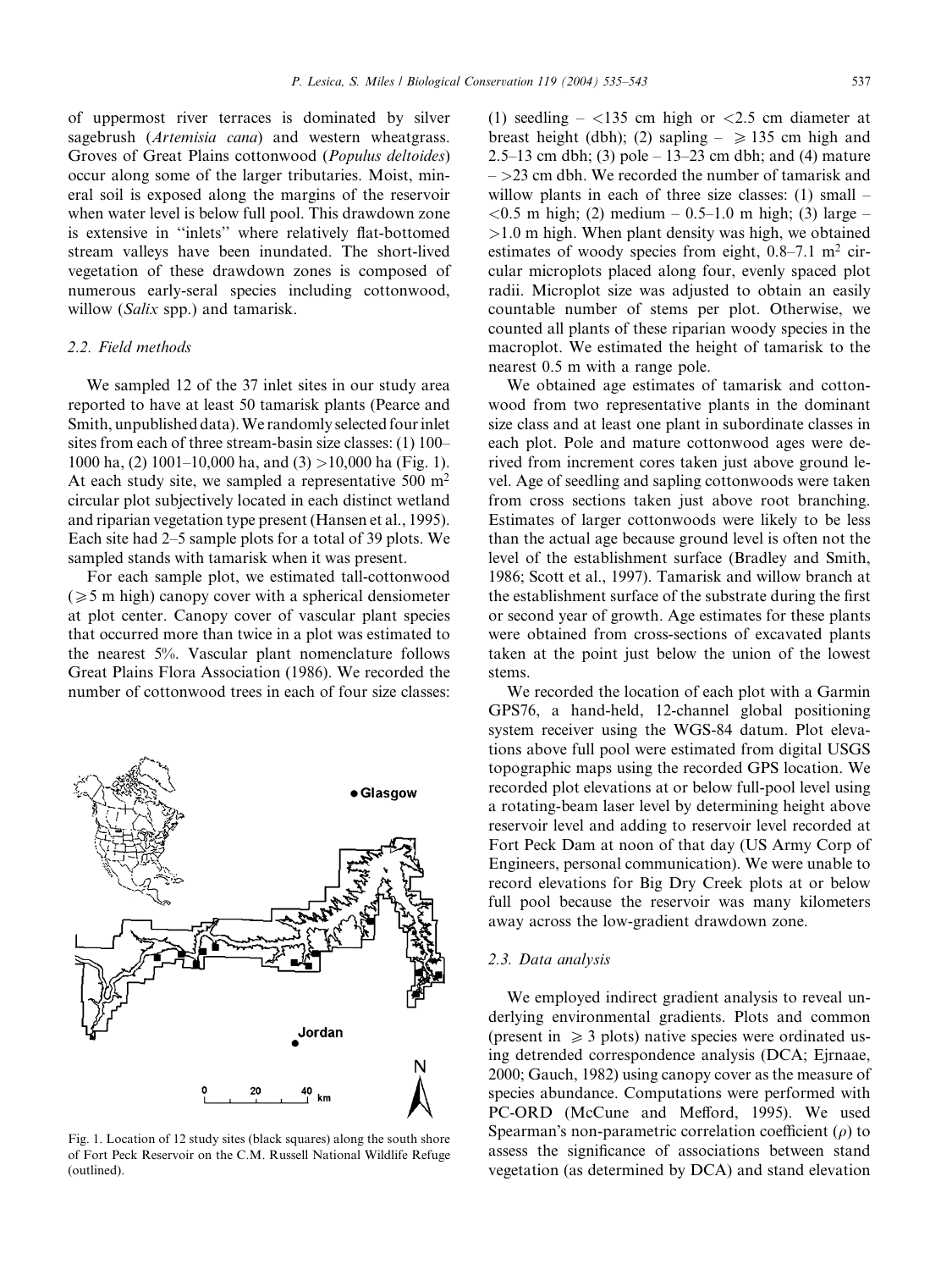of uppermost river terraces is dominated by silver sagebrush (Artemisia cana) and western wheatgrass. Groves of Great Plains cottonwood (Populus deltoides) occur along some of the larger tributaries. Moist, mineral soil is exposed along the margins of the reservoir when water level is below full pool. This drawdown zone is extensive in ''inlets'' where relatively flat-bottomed stream valleys have been inundated. The short-lived vegetation of these drawdown zones is composed of numerous early-seral species including cottonwood, willow (*Salix* spp.) and tamarisk.

# 2.2. Field methods

We sampled 12 of the 37 inlet sites in our study area reported to have at least 50 tamarisk plants (Pearce and Smith, unpublished data).We randomly selected four inlet sites from each of three stream-basin size classes: (1) 100– 1000 ha, (2) 1001–10,000 ha, and (3)  $>10,000$  ha (Fig. 1). At each study site, we sampled a representative  $500 \text{ m}^2$ circular plot subjectively located in each distinct wetland and riparian vegetation type present (Hansen et al., 1995). Each site had 2–5 sample plots for a total of 39 plots. We sampled stands with tamarisk when it was present.

For each sample plot, we estimated tall-cottonwood  $(\geq 5$  m high) canopy cover with a spherical densiometer at plot center. Canopy cover of vascular plant species that occurred more than twice in a plot was estimated to the nearest 5%. Vascular plant nomenclature follows Great Plains Flora Association (1986). We recorded the number of cottonwood trees in each of four size classes:



Fig. 1. Location of 12 study sites (black squares) along the south shore of Fort Peck Reservoir on the C.M. Russell National Wildlife Refuge (outlined).

(1) seedling  $-$  <135 cm high or <2.5 cm diameter at breast height (dbh); (2) sapling  $- \ge 135$  cm high and 2.5–13 cm dbh; (3) pole – 13–23 cm dbh; and (4) mature  $-$  >23 cm dbh. We recorded the number of tamarisk and willow plants in each of three size classes: (1) small –  $< 0.5$  m high; (2) medium – 0.5–1.0 m high; (3) large –  $>1.0$  m high. When plant density was high, we obtained estimates of woody species from eight,  $0.8-7.1$  m<sup>2</sup> circular microplots placed along four, evenly spaced plot radii. Microplot size was adjusted to obtain an easily countable number of stems per plot. Otherwise, we counted all plants of these riparian woody species in the macroplot. We estimated the height of tamarisk to the nearest 0.5 m with a range pole.

We obtained age estimates of tamarisk and cottonwood from two representative plants in the dominant size class and at least one plant in subordinate classes in each plot. Pole and mature cottonwood ages were derived from increment cores taken just above ground level. Age of seedling and sapling cottonwoods were taken from cross sections taken just above root branching. Estimates of larger cottonwoods were likely to be less than the actual age because ground level is often not the level of the establishment surface (Bradley and Smith, 1986; Scott et al., 1997). Tamarisk and willow branch at the establishment surface of the substrate during the first or second year of growth. Age estimates for these plants were obtained from cross-sections of excavated plants taken at the point just below the union of the lowest stems.

We recorded the location of each plot with a Garmin GPS76, a hand-held, 12-channel global positioning system receiver using the WGS-84 datum. Plot elevations above full pool were estimated from digital USGS topographic maps using the recorded GPS location. We recorded plot elevations at or below full-pool level using a rotating-beam laser level by determining height above reservoir level and adding to reservoir level recorded at Fort Peck Dam at noon of that day (US Army Corp of Engineers, personal communication). We were unable to record elevations for Big Dry Creek plots at or below full pool because the reservoir was many kilometers away across the low-gradient drawdown zone.

### 2.3. Data analysis

We employed indirect gradient analysis to reveal underlying environmental gradients. Plots and common (present in  $\geq 3$  plots) native species were ordinated using detrended correspondence analysis (DCA; Ejrnaae, 2000; Gauch, 1982) using canopy cover as the measure of species abundance. Computations were performed with PC-ORD (McCune and Mefford, 1995). We used Spearman's non-parametric correlation coefficient  $(\rho)$  to assess the significance of associations between stand vegetation (as determined by DCA) and stand elevation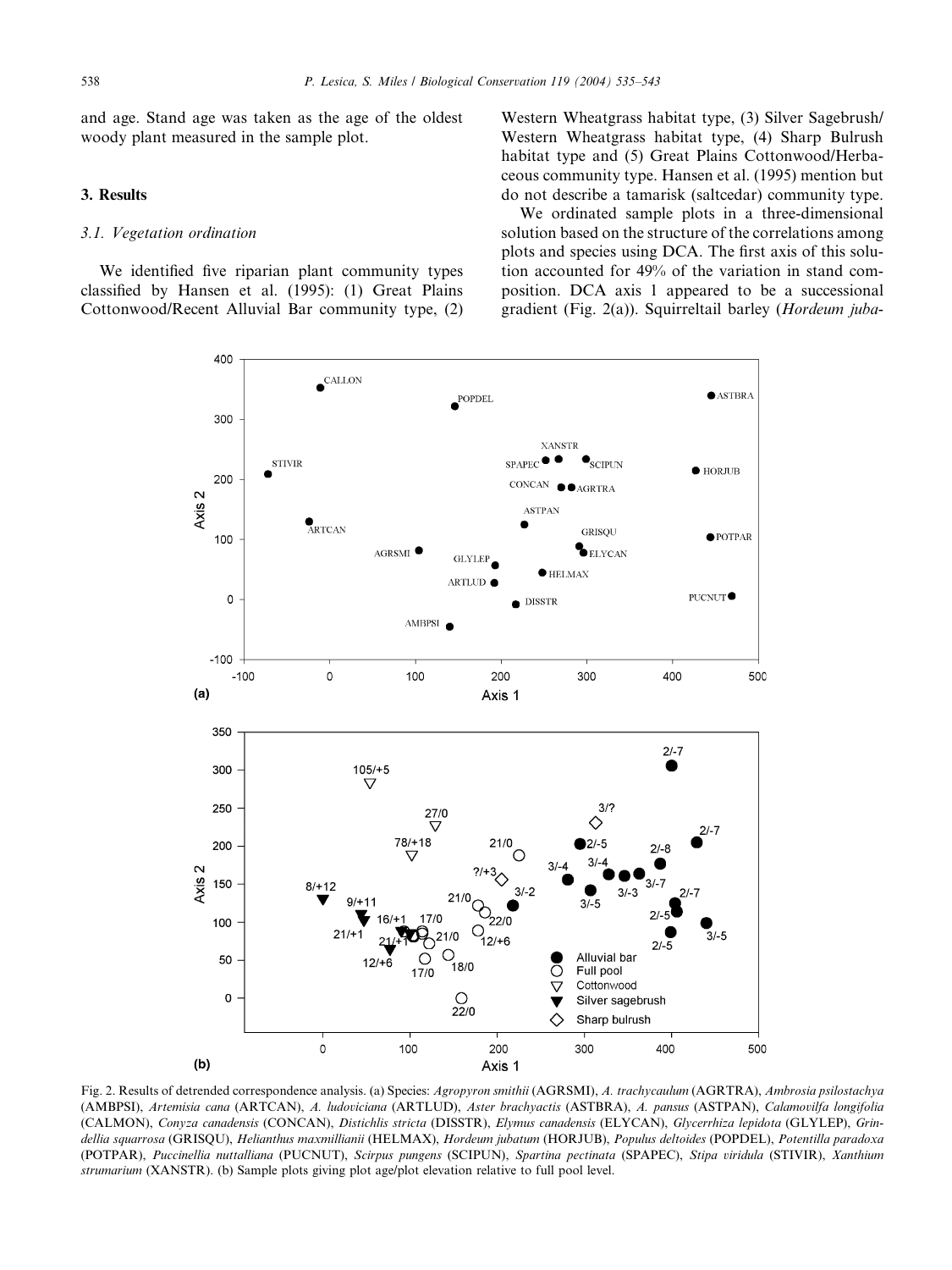and age. Stand age was taken as the age of the oldest woody plant measured in the sample plot.

## 3. Results

# 3.1. Vegetation ordination

We identified five riparian plant community types classified by Hansen et al. (1995): (1) Great Plains Cottonwood/Recent Alluvial Bar community type, (2) Western Wheatgrass habitat type, (3) Silver Sagebrush/ Western Wheatgrass habitat type, (4) Sharp Bulrush habitat type and (5) Great Plains Cottonwood/Herbaceous community type. Hansen et al. (1995) mention but do not describe a tamarisk (saltcedar) community type.

We ordinated sample plots in a three-dimensional solution based on the structure of the correlations among plots and species using DCA. The first axis of this solution accounted for 49% of the variation in stand composition. DCA axis 1 appeared to be a successional gradient (Fig. 2(a)). Squirreltail barley (Hordeum juba-



Fig. 2. Results of detrended correspondence analysis. (a) Species: Agropyron smithii (AGRSMI), A. trachycaulum (AGRTRA), Ambrosia psilostachya (AMBPSI), Artemisia cana (ARTCAN), A. ludoviciana (ARTLUD), Aster brachyactis (ASTBRA), A. pansus (ASTPAN), Calamovilfa longifolia (CALMON), Conyza canadensis (CONCAN), Distichlis stricta (DISSTR), Elymus canadensis (ELYCAN), Glycerrhiza lepidota (GLYLEP), Grindellia sauarrosa (GRISOU), Helianthus maxmillianii (HELMAX), Hordeum jubatum (HORJUB), Populus deltoides (POPDEL), Potentilla paradoxa (POTPAR), Puccinellia nuttalliana (PUCNUT), Scirpus pungens (SCIPUN), Spartina pectinata (SPAPEC), Stipa viridula (STIVIR), Xanthium strumarium (XANSTR). (b) Sample plots giving plot age/plot elevation relative to full pool level.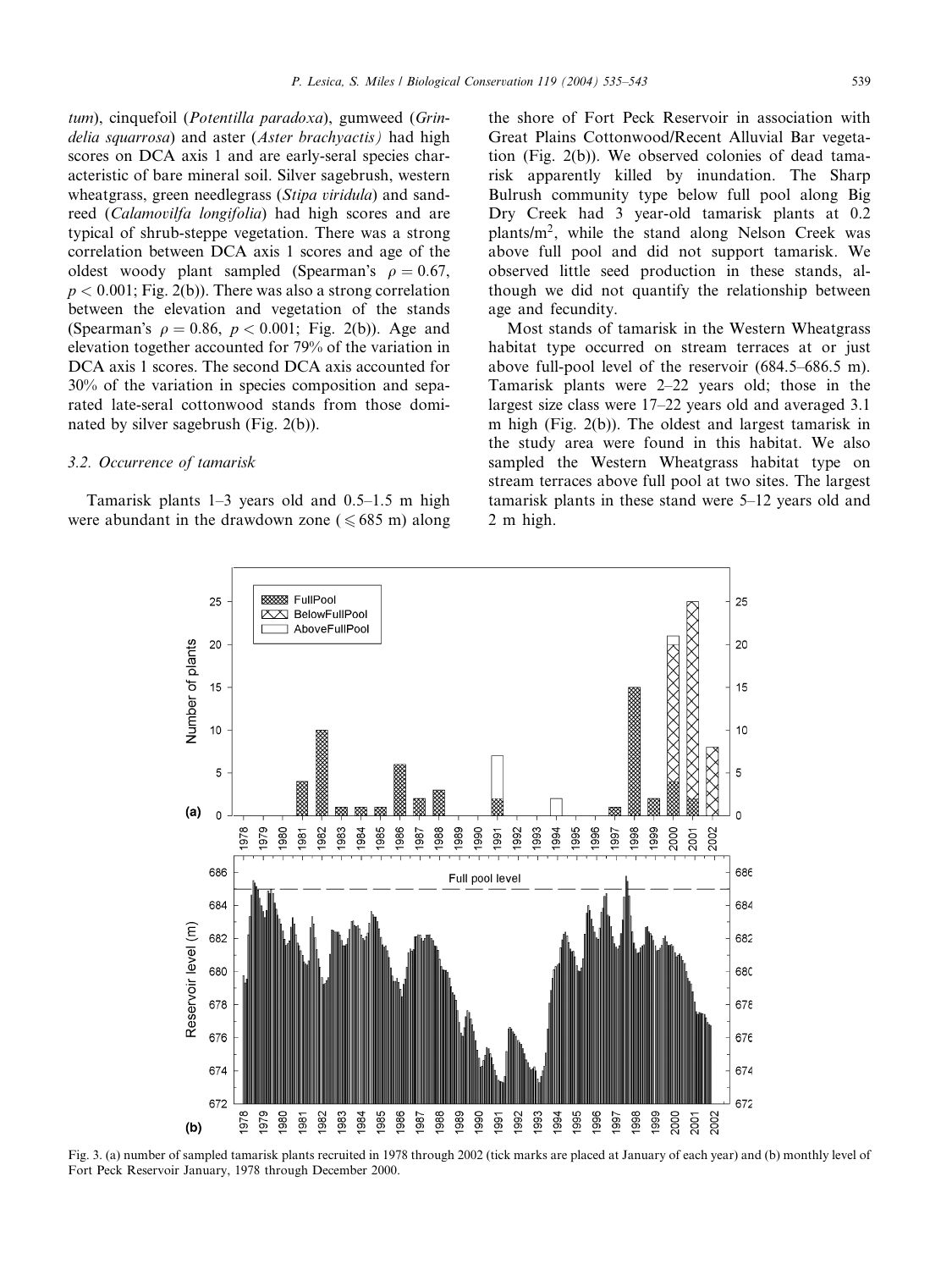tum), cinquefoil (Potentilla paradoxa), gumweed (Grindelia squarrosa) and aster (Aster brachyactis) had high scores on DCA axis 1 and are early-seral species characteristic of bare mineral soil. Silver sagebrush, western wheatgrass, green needlegrass (Stipa viridula) and sandreed (Calamovilfa longifolia) had high scores and are typical of shrub-steppe vegetation. There was a strong correlation between DCA axis 1 scores and age of the oldest woody plant sampled (Spearman's  $\rho = 0.67$ ,  $p < 0.001$ ; Fig. 2(b)). There was also a strong correlation between the elevation and vegetation of the stands (Spearman's  $\rho = 0.86$ ,  $p < 0.001$ ; Fig. 2(b)). Age and elevation together accounted for 79% of the variation in DCA axis 1 scores. The second DCA axis accounted for 30% of the variation in species composition and separated late-seral cottonwood stands from those dominated by silver sagebrush (Fig. 2(b)).

## 3.2. Occurrence of tamarisk

Tamarisk plants 1–3 years old and 0.5–1.5 m high were abundant in the drawdown zone ( $\leq 685$  m) along the shore of Fort Peck Reservoir in association with Great Plains Cottonwood/Recent Alluvial Bar vegetation (Fig. 2(b)). We observed colonies of dead tamarisk apparently killed by inundation. The Sharp Bulrush community type below full pool along Big Dry Creek had 3 year-old tamarisk plants at 0.2 plants/m2, while the stand along Nelson Creek was above full pool and did not support tamarisk. We observed little seed production in these stands, although we did not quantify the relationship between age and fecundity.

Most stands of tamarisk in the Western Wheatgrass habitat type occurred on stream terraces at or just above full-pool level of the reservoir (684.5–686.5 m). Tamarisk plants were 2–22 years old; those in the largest size class were 17–22 years old and averaged 3.1 m high (Fig. 2(b)). The oldest and largest tamarisk in the study area were found in this habitat. We also sampled the Western Wheatgrass habitat type on stream terraces above full pool at two sites. The largest tamarisk plants in these stand were 5–12 years old and 2 m high.



Fig. 3. (a) number of sampled tamarisk plants recruited in 1978 through 2002 (tick marks are placed at January of each year) and (b) monthly level of Fort Peck Reservoir January, 1978 through December 2000.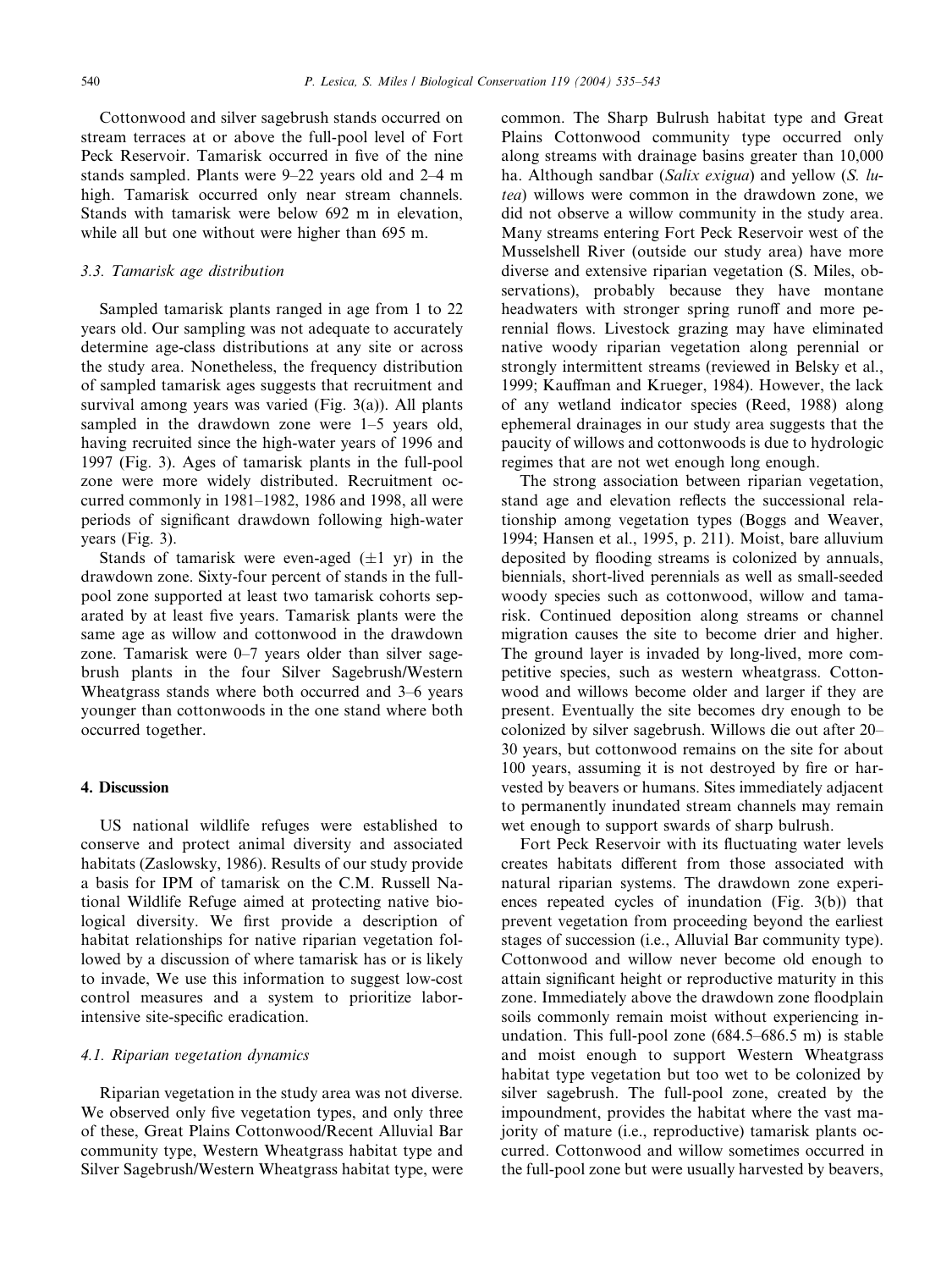Cottonwood and silver sagebrush stands occurred on stream terraces at or above the full-pool level of Fort Peck Reservoir. Tamarisk occurred in five of the nine stands sampled. Plants were 9–22 years old and 2–4 m high. Tamarisk occurred only near stream channels. Stands with tamarisk were below 692 m in elevation, while all but one without were higher than 695 m.

# 3.3. Tamarisk age distribution

Sampled tamarisk plants ranged in age from 1 to 22 years old. Our sampling was not adequate to accurately determine age-class distributions at any site or across the study area. Nonetheless, the frequency distribution of sampled tamarisk ages suggests that recruitment and survival among years was varied (Fig. 3(a)). All plants sampled in the drawdown zone were 1–5 years old, having recruited since the high-water years of 1996 and 1997 (Fig. 3). Ages of tamarisk plants in the full-pool zone were more widely distributed. Recruitment occurred commonly in 1981–1982, 1986 and 1998, all were periods of significant drawdown following high-water years (Fig. 3).

Stands of tamarisk were even-aged  $(\pm 1 \text{ yr})$  in the drawdown zone. Sixty-four percent of stands in the fullpool zone supported at least two tamarisk cohorts separated by at least five years. Tamarisk plants were the same age as willow and cottonwood in the drawdown zone. Tamarisk were 0–7 years older than silver sagebrush plants in the four Silver Sagebrush/Western Wheatgrass stands where both occurred and 3–6 years younger than cottonwoods in the one stand where both occurred together.

## 4. Discussion

US national wildlife refuges were established to conserve and protect animal diversity and associated habitats (Zaslowsky, 1986). Results of our study provide a basis for IPM of tamarisk on the C.M. Russell National Wildlife Refuge aimed at protecting native biological diversity. We first provide a description of habitat relationships for native riparian vegetation followed by a discussion of where tamarisk has or is likely to invade, We use this information to suggest low-cost control measures and a system to prioritize laborintensive site-specific eradication.

#### 4.1. Riparian vegetation dynamics

Riparian vegetation in the study area was not diverse. We observed only five vegetation types, and only three of these, Great Plains Cottonwood/Recent Alluvial Bar community type, Western Wheatgrass habitat type and Silver Sagebrush/Western Wheatgrass habitat type, were common. The Sharp Bulrush habitat type and Great Plains Cottonwood community type occurred only along streams with drainage basins greater than 10,000 ha. Although sandbar (Salix exigua) and yellow (S. lutea) willows were common in the drawdown zone, we did not observe a willow community in the study area. Many streams entering Fort Peck Reservoir west of the Musselshell River (outside our study area) have more diverse and extensive riparian vegetation (S. Miles, observations), probably because they have montane headwaters with stronger spring runoff and more perennial flows. Livestock grazing may have eliminated native woody riparian vegetation along perennial or strongly intermittent streams (reviewed in Belsky et al., 1999; Kauffman and Krueger, 1984). However, the lack of any wetland indicator species (Reed, 1988) along ephemeral drainages in our study area suggests that the paucity of willows and cottonwoods is due to hydrologic regimes that are not wet enough long enough.

The strong association between riparian vegetation, stand age and elevation reflects the successional relationship among vegetation types (Boggs and Weaver, 1994; Hansen et al., 1995, p. 211). Moist, bare alluvium deposited by flooding streams is colonized by annuals, biennials, short-lived perennials as well as small-seeded woody species such as cottonwood, willow and tamarisk. Continued deposition along streams or channel migration causes the site to become drier and higher. The ground layer is invaded by long-lived, more competitive species, such as western wheatgrass. Cottonwood and willows become older and larger if they are present. Eventually the site becomes dry enough to be colonized by silver sagebrush. Willows die out after 20– 30 years, but cottonwood remains on the site for about 100 years, assuming it is not destroyed by fire or harvested by beavers or humans. Sites immediately adjacent to permanently inundated stream channels may remain wet enough to support swards of sharp bulrush.

Fort Peck Reservoir with its fluctuating water levels creates habitats different from those associated with natural riparian systems. The drawdown zone experiences repeated cycles of inundation (Fig. 3(b)) that prevent vegetation from proceeding beyond the earliest stages of succession (i.e., Alluvial Bar community type). Cottonwood and willow never become old enough to attain significant height or reproductive maturity in this zone. Immediately above the drawdown zone floodplain soils commonly remain moist without experiencing inundation. This full-pool zone (684.5–686.5 m) is stable and moist enough to support Western Wheatgrass habitat type vegetation but too wet to be colonized by silver sagebrush. The full-pool zone, created by the impoundment, provides the habitat where the vast majority of mature (i.e., reproductive) tamarisk plants occurred. Cottonwood and willow sometimes occurred in the full-pool zone but were usually harvested by beavers,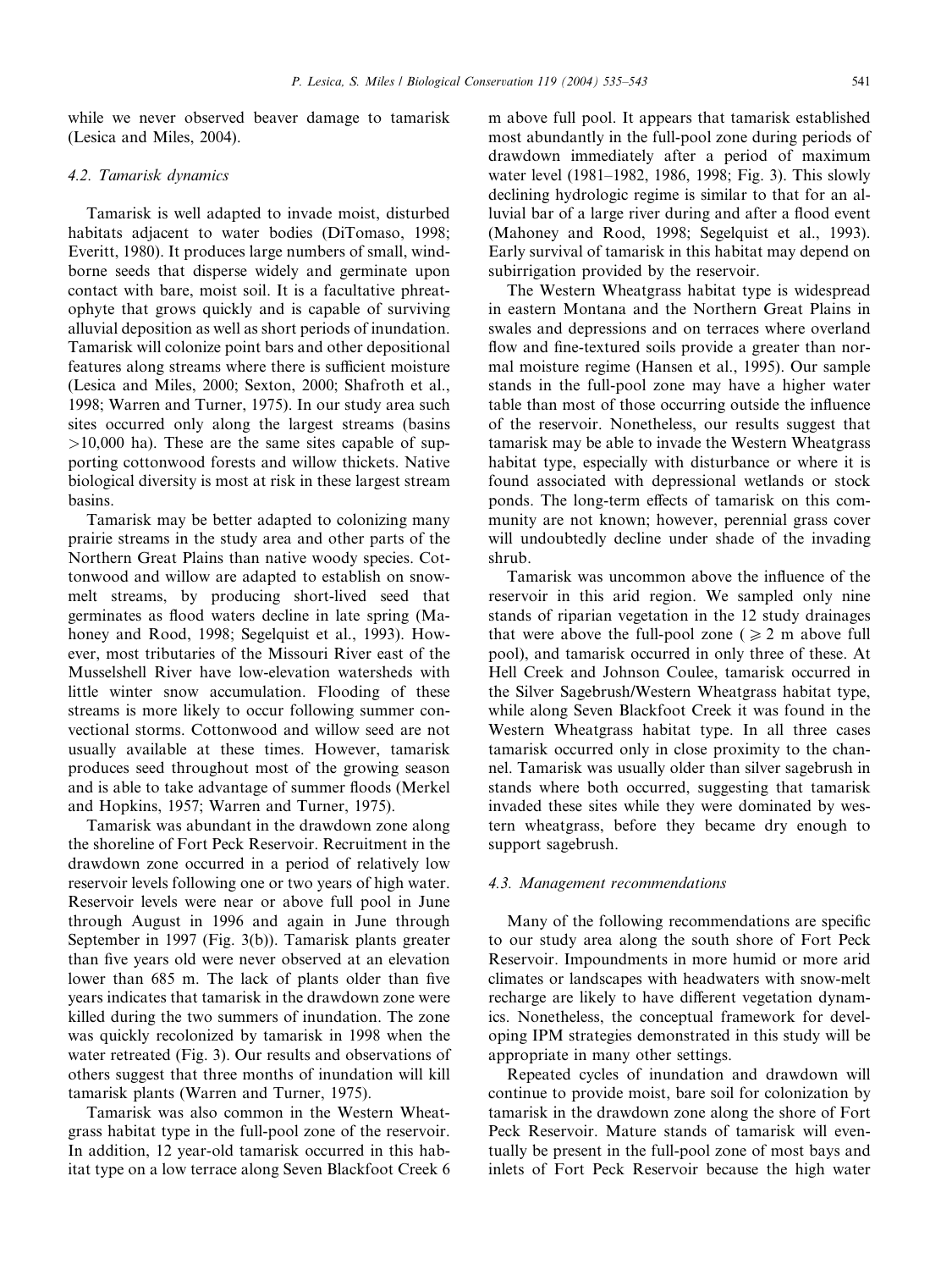while we never observed beaver damage to tamarisk (Lesica and Miles, 2004).

## 4.2. Tamarisk dynamics

Tamarisk is well adapted to invade moist, disturbed habitats adjacent to water bodies (DiTomaso, 1998; Everitt, 1980). It produces large numbers of small, windborne seeds that disperse widely and germinate upon contact with bare, moist soil. It is a facultative phreatophyte that grows quickly and is capable of surviving alluvial deposition as well as short periods of inundation. Tamarisk will colonize point bars and other depositional features along streams where there is sufficient moisture (Lesica and Miles, 2000; Sexton, 2000; Shafroth et al., 1998; Warren and Turner, 1975). In our study area such sites occurred only along the largest streams (basins  $>10,000$  ha). These are the same sites capable of supporting cottonwood forests and willow thickets. Native biological diversity is most at risk in these largest stream basins.

Tamarisk may be better adapted to colonizing many prairie streams in the study area and other parts of the Northern Great Plains than native woody species. Cottonwood and willow are adapted to establish on snowmelt streams, by producing short-lived seed that germinates as flood waters decline in late spring (Mahoney and Rood, 1998; Segelquist et al., 1993). However, most tributaries of the Missouri River east of the Musselshell River have low-elevation watersheds with little winter snow accumulation. Flooding of these streams is more likely to occur following summer convectional storms. Cottonwood and willow seed are not usually available at these times. However, tamarisk produces seed throughout most of the growing season and is able to take advantage of summer floods (Merkel and Hopkins, 1957; Warren and Turner, 1975).

Tamarisk was abundant in the drawdown zone along the shoreline of Fort Peck Reservoir. Recruitment in the drawdown zone occurred in a period of relatively low reservoir levels following one or two years of high water. Reservoir levels were near or above full pool in June through August in 1996 and again in June through September in 1997 (Fig. 3(b)). Tamarisk plants greater than five years old were never observed at an elevation lower than 685 m. The lack of plants older than five years indicates that tamarisk in the drawdown zone were killed during the two summers of inundation. The zone was quickly recolonized by tamarisk in 1998 when the water retreated (Fig. 3). Our results and observations of others suggest that three months of inundation will kill tamarisk plants (Warren and Turner, 1975).

Tamarisk was also common in the Western Wheatgrass habitat type in the full-pool zone of the reservoir. In addition, 12 year-old tamarisk occurred in this habitat type on a low terrace along Seven Blackfoot Creek 6 m above full pool. It appears that tamarisk established most abundantly in the full-pool zone during periods of drawdown immediately after a period of maximum water level (1981–1982, 1986, 1998; Fig. 3). This slowly declining hydrologic regime is similar to that for an alluvial bar of a large river during and after a flood event (Mahoney and Rood, 1998; Segelquist et al., 1993). Early survival of tamarisk in this habitat may depend on subirrigation provided by the reservoir.

The Western Wheatgrass habitat type is widespread in eastern Montana and the Northern Great Plains in swales and depressions and on terraces where overland flow and fine-textured soils provide a greater than normal moisture regime (Hansen et al., 1995). Our sample stands in the full-pool zone may have a higher water table than most of those occurring outside the influence of the reservoir. Nonetheless, our results suggest that tamarisk may be able to invade the Western Wheatgrass habitat type, especially with disturbance or where it is found associated with depressional wetlands or stock ponds. The long-term effects of tamarisk on this community are not known; however, perennial grass cover will undoubtedly decline under shade of the invading shrub.

Tamarisk was uncommon above the influence of the reservoir in this arid region. We sampled only nine stands of riparian vegetation in the 12 study drainages that were above the full-pool zone ( $\geq 2$  m above full pool), and tamarisk occurred in only three of these. At Hell Creek and Johnson Coulee, tamarisk occurred in the Silver Sagebrush/Western Wheatgrass habitat type, while along Seven Blackfoot Creek it was found in the Western Wheatgrass habitat type. In all three cases tamarisk occurred only in close proximity to the channel. Tamarisk was usually older than silver sagebrush in stands where both occurred, suggesting that tamarisk invaded these sites while they were dominated by western wheatgrass, before they became dry enough to support sagebrush.

#### 4.3. Management recommendations

Many of the following recommendations are specific to our study area along the south shore of Fort Peck Reservoir. Impoundments in more humid or more arid climates or landscapes with headwaters with snow-melt recharge are likely to have different vegetation dynamics. Nonetheless, the conceptual framework for developing IPM strategies demonstrated in this study will be appropriate in many other settings.

Repeated cycles of inundation and drawdown will continue to provide moist, bare soil for colonization by tamarisk in the drawdown zone along the shore of Fort Peck Reservoir. Mature stands of tamarisk will eventually be present in the full-pool zone of most bays and inlets of Fort Peck Reservoir because the high water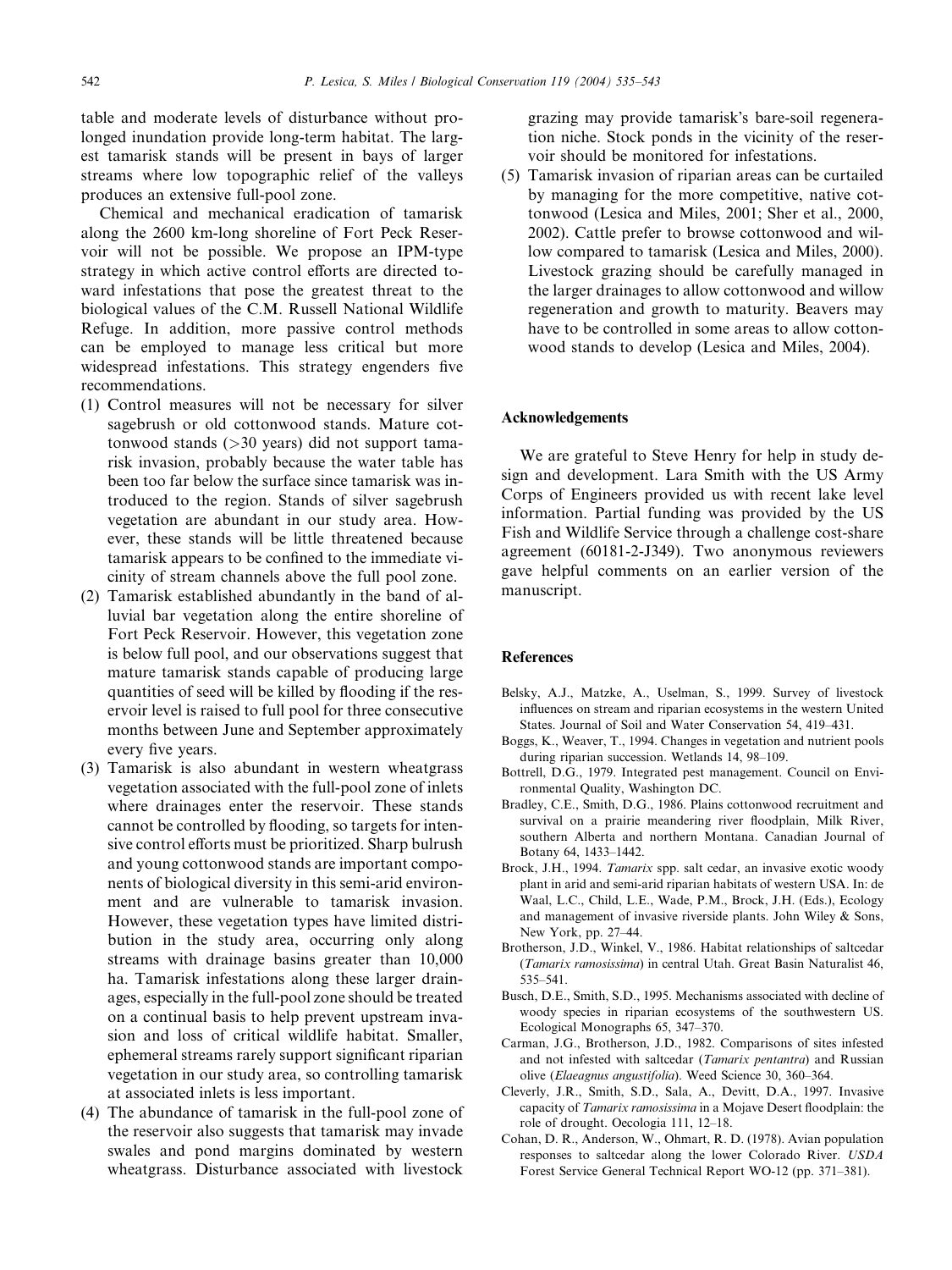table and moderate levels of disturbance without prolonged inundation provide long-term habitat. The largest tamarisk stands will be present in bays of larger streams where low topographic relief of the valleys produces an extensive full-pool zone.

Chemical and mechanical eradication of tamarisk along the 2600 km-long shoreline of Fort Peck Reservoir will not be possible. We propose an IPM-type strategy in which active control efforts are directed toward infestations that pose the greatest threat to the biological values of the C.M. Russell National Wildlife Refuge. In addition, more passive control methods can be employed to manage less critical but more widespread infestations. This strategy engenders five recommendations.

- (1) Control measures will not be necessary for silver sagebrush or old cottonwood stands. Mature cottonwood stands (>30 years) did not support tamarisk invasion, probably because the water table has been too far below the surface since tamarisk was introduced to the region. Stands of silver sagebrush vegetation are abundant in our study area. However, these stands will be little threatened because tamarisk appears to be confined to the immediate vicinity of stream channels above the full pool zone.
- (2) Tamarisk established abundantly in the band of alluvial bar vegetation along the entire shoreline of Fort Peck Reservoir. However, this vegetation zone is below full pool, and our observations suggest that mature tamarisk stands capable of producing large quantities of seed will be killed by flooding if the reservoir level is raised to full pool for three consecutive months between June and September approximately every five years.
- (3) Tamarisk is also abundant in western wheatgrass vegetation associated with the full-pool zone of inlets where drainages enter the reservoir. These stands cannot be controlled by flooding, so targets for intensive control efforts must be prioritized. Sharp bulrush and young cottonwood stands are important components of biological diversity in this semi-arid environment and are vulnerable to tamarisk invasion. However, these vegetation types have limited distribution in the study area, occurring only along streams with drainage basins greater than 10,000 ha. Tamarisk infestations along these larger drainages, especially in the full-pool zone should be treated on a continual basis to help prevent upstream invasion and loss of critical wildlife habitat. Smaller, ephemeral streams rarely support significant riparian vegetation in our study area, so controlling tamarisk at associated inlets is less important.
- (4) The abundance of tamarisk in the full-pool zone of the reservoir also suggests that tamarisk may invade swales and pond margins dominated by western wheatgrass. Disturbance associated with livestock

grazing may provide tamarisk's bare-soil regeneration niche. Stock ponds in the vicinity of the reservoir should be monitored for infestations.

(5) Tamarisk invasion of riparian areas can be curtailed by managing for the more competitive, native cottonwood (Lesica and Miles, 2001; Sher et al., 2000, 2002). Cattle prefer to browse cottonwood and willow compared to tamarisk (Lesica and Miles, 2000). Livestock grazing should be carefully managed in the larger drainages to allow cottonwood and willow regeneration and growth to maturity. Beavers may have to be controlled in some areas to allow cottonwood stands to develop (Lesica and Miles, 2004).

### Acknowledgements

We are grateful to Steve Henry for help in study design and development. Lara Smith with the US Army Corps of Engineers provided us with recent lake level information. Partial funding was provided by the US Fish and Wildlife Service through a challenge cost-share agreement (60181-2-J349). Two anonymous reviewers gave helpful comments on an earlier version of the manuscript.

## References

- Belsky, A.J., Matzke, A., Uselman, S., 1999. Survey of livestock influences on stream and riparian ecosystems in the western United States. Journal of Soil and Water Conservation 54, 419–431.
- Boggs, K., Weaver, T., 1994. Changes in vegetation and nutrient pools during riparian succession. Wetlands 14, 98–109.
- Bottrell, D.G., 1979. Integrated pest management. Council on Environmental Quality, Washington DC.
- Bradley, C.E., Smith, D.G., 1986. Plains cottonwood recruitment and survival on a prairie meandering river floodplain, Milk River, southern Alberta and northern Montana. Canadian Journal of Botany 64, 1433–1442.
- Brock, J.H., 1994. Tamarix spp. salt cedar, an invasive exotic woody plant in arid and semi-arid riparian habitats of western USA. In: de Waal, L.C., Child, L.E., Wade, P.M., Brock, J.H. (Eds.), Ecology and management of invasive riverside plants. John Wiley & Sons, New York, pp. 27–44.
- Brotherson, J.D., Winkel, V., 1986. Habitat relationships of saltcedar (Tamarix ramosissima) in central Utah. Great Basin Naturalist 46, 535–541.
- Busch, D.E., Smith, S.D., 1995. Mechanisms associated with decline of woody species in riparian ecosystems of the southwestern US. Ecological Monographs 65, 347–370.
- Carman, J.G., Brotherson, J.D., 1982. Comparisons of sites infested and not infested with saltcedar (Tamarix pentantra) and Russian olive (Elaeagnus angustifolia). Weed Science 30, 360–364.
- Cleverly, J.R., Smith, S.D., Sala, A., Devitt, D.A., 1997. Invasive capacity of Tamarix ramosissima in a Mojave Desert floodplain: the role of drought. Oecologia 111, 12–18.
- Cohan, D. R., Anderson, W., Ohmart, R. D. (1978). Avian population responses to saltcedar along the lower Colorado River. USDA Forest Service General Technical Report WO-12 (pp. 371–381).